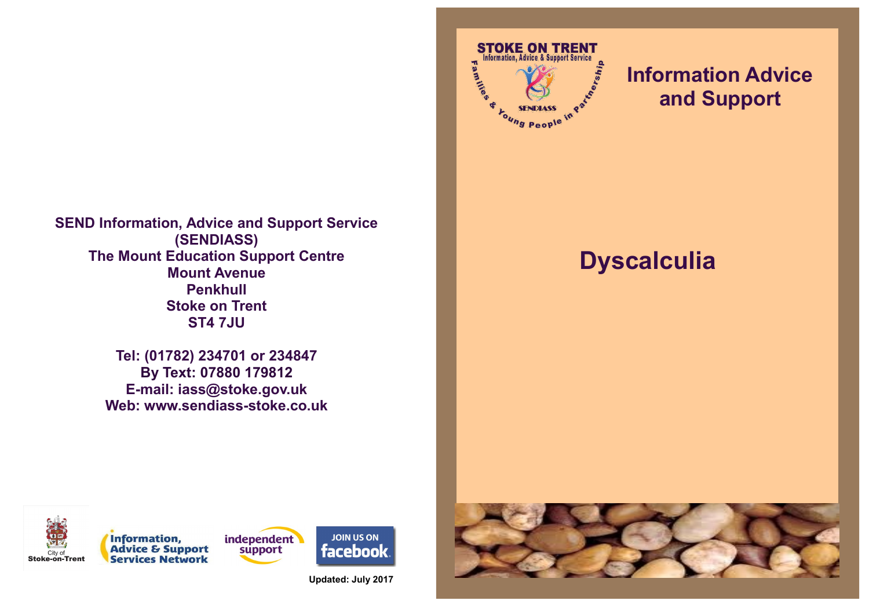**SEND Information, Advice and Support Service (SENDIASS) The Mount Education Support Centre Mount Avenue Penkhull Stoke on Trent ST4 7JU**

> **Tel: (01782) 234701 or 234847 By Text: 07880 179812 E-mail: iass@stoke.gov.uk Web: www.sendiass-stoke.co.uk**



## **Information Advice and Support**

## **Dyscalculia**





**Updated: July 2017**

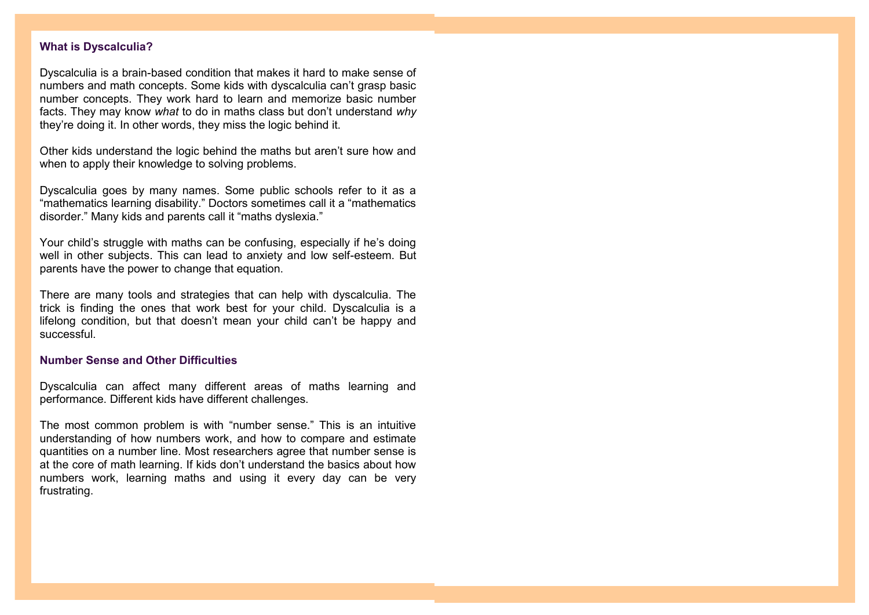## **What is Dyscalculia?**

Dyscalculia is a brain-based condition that makes it hard to make sense of numbers and math concepts. Some kids with dyscalculia can't grasp basic number concepts. They work hard to learn and memorize basic number facts. They may know *what* to do in maths class but don't understand *why* they're doing it. In other words, they miss the logic behind it.

Other kids understand the logic behind the maths but aren't sure how and when to apply their knowledge to solving problems.

Dyscalculia goes by many names. Some public schools refer to it as a "mathematics learning disability." Doctors sometimes call it a "mathematics disorder." Many kids and parents call it "maths dyslexia."

Your child's struggle with maths can be confusing, especially if he's doing well in other subjects. This can lead to anxiety and low self-esteem. But parents have the power to change that equation.

There are many tools and strategies that can help with dyscalculia. The trick is finding the ones that work best for your child. Dyscalculia is a lifelong condition, but that doesn't mean your child can't be happy and successful.

## **Number Sense and Other Difficulties**

Dyscalculia can affect many different areas of maths learning and performance. Different kids have different challenges.

The most common problem is with "number sense." This is an intuitive understanding of how numbers work, and how to compare and estimate quantities on a number line. Most researchers agree that number sense is at the core of math learning. If kids don't understand the basics about how numbers work, learning maths and using it every day can be very frustrating.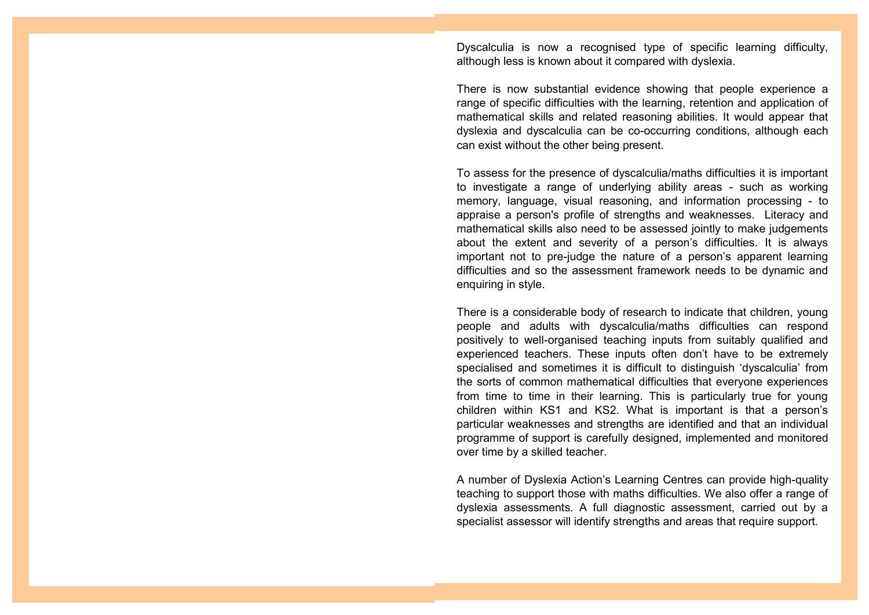Dyscalculia is now a recognised type of specific learning difficulty, although less is known about it compared with dyslexia.

There is now substantial evidence showing that people experience a range of specific difficulties with the learning, retention and application of mathematical skills and related reasoning abilities. It would appear that dyslexia and dyscalculia can be co-occurring conditions, although each can exist without the other being present.

To assess for the presence of dyscalculia/maths difficulties it is important to investigate a range of underlying ability areas - such as working memory, language, visual reasoning, and information processing - to appraise a person's profile of strengths and weaknesses. Literacy and mathematical skills also need to be assessed jointly to make judgements about the extent and severity of a person's difficulties. It is always important not to pre-judge the nature of a person's apparent learning difficulties and so the assessment framework needs to be dynamic and enquiring in style.

There is a considerable body of research to indicate that children, young people and adults with dyscalculia/maths difficulties can respond positively to well-organised teaching inputs from suitably qualified and experienced teachers. These inputs often don't have to be extremely specialised and sometimes it is difficult to distinguish 'dyscalculia' from the sorts of common mathematical difficulties that everyone experiences from time to time in their learning. This is particularly true for young children within KS1 and KS2. What is important is that a person's particular weaknesses and strengths are identified and that an individual programme of support is carefully designed, implemented and monitored over time by a skilled teacher.

A number of Dyslexia Action's Learning Centres can provide high-quality teaching to support those with maths difficulties. We also offer a range of dyslexia assessments. A full diagnostic assessment, carried out by a specialist assessor will identify strengths and areas that require support.